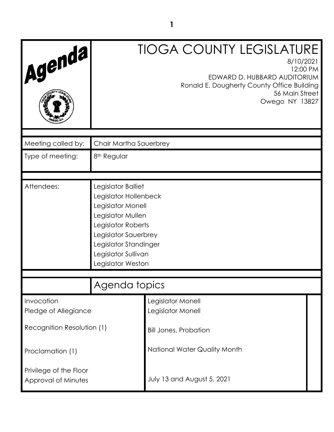| Agenda,                                       |                                                                                                                                                                                                          | <b>TIOGA COUNTY LEGISLATURE</b><br>8/10/2021<br>12:00 PM<br>EDWARD D. HUBBARD AUDITORIUM<br>Ronald E. Dougherty County Office Building<br>56 Main Street<br>Owego NY 13827 |
|-----------------------------------------------|----------------------------------------------------------------------------------------------------------------------------------------------------------------------------------------------------------|----------------------------------------------------------------------------------------------------------------------------------------------------------------------------|
|                                               |                                                                                                                                                                                                          |                                                                                                                                                                            |
| Meeting called by:                            | Chair Martha Sauerbrey                                                                                                                                                                                   |                                                                                                                                                                            |
| Type of meeting:                              | 8 <sup>th</sup> Regular                                                                                                                                                                                  |                                                                                                                                                                            |
|                                               |                                                                                                                                                                                                          |                                                                                                                                                                            |
| Attendees:                                    | Legislator Balliet<br>Legislator Hollenbeck<br>Legislator Monell<br>Legislator Mullen<br>Legislator Roberts<br>Legislator Sauerbrey<br>Legislator Standinger<br>Legislator Sullivan<br>Legislator Weston |                                                                                                                                                                            |
|                                               | Agenda topics                                                                                                                                                                                            |                                                                                                                                                                            |
|                                               |                                                                                                                                                                                                          |                                                                                                                                                                            |
| Invocation<br>Pledge of Allegiance            |                                                                                                                                                                                                          | Legislator Monell<br>Legislator Monell                                                                                                                                     |
| Recognition Resolution (1)                    |                                                                                                                                                                                                          | <b>Bill Jones, Probation</b>                                                                                                                                               |
| Proclamation (1)                              |                                                                                                                                                                                                          | National Water Quality Month                                                                                                                                               |
| Privilege of the Floor<br>Approval of Minutes |                                                                                                                                                                                                          | July 13 and August 5, 2021                                                                                                                                                 |

**1**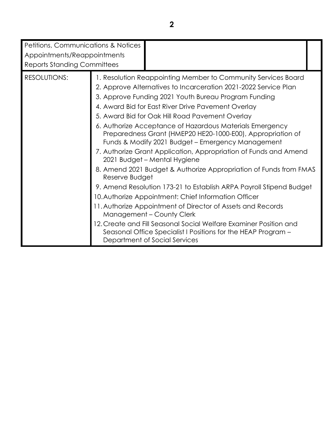| Petitions, Communications & Notices<br>Appointments/Reappointments<br><b>Reports Standing Committees</b> |                |                                                                                                                                                                                                                                                                                                                                                                                                                                                                                                                                                                                                                                                                                                                                                                                                                                                                                                                                                                                                                                                              |  |
|----------------------------------------------------------------------------------------------------------|----------------|--------------------------------------------------------------------------------------------------------------------------------------------------------------------------------------------------------------------------------------------------------------------------------------------------------------------------------------------------------------------------------------------------------------------------------------------------------------------------------------------------------------------------------------------------------------------------------------------------------------------------------------------------------------------------------------------------------------------------------------------------------------------------------------------------------------------------------------------------------------------------------------------------------------------------------------------------------------------------------------------------------------------------------------------------------------|--|
| <b>RESOLUTIONS:</b>                                                                                      | Reserve Budget | 1. Resolution Reappointing Member to Community Services Board<br>2. Approve Alternatives to Incarceration 2021-2022 Service Plan<br>3. Approve Funding 2021 Youth Bureau Program Funding<br>4. Award Bid for East River Drive Pavement Overlay<br>5. Award Bid for Oak Hill Road Pavement Overlay<br>6. Authorize Acceptance of Hazardous Materials Emergency<br>Preparedness Grant (HMEP20 HE20-1000-E00), Appropriation of<br>Funds & Modify 2021 Budget - Emergency Management<br>7. Authorize Grant Application, Appropriation of Funds and Amend<br>2021 Budget - Mental Hygiene<br>8. Amend 2021 Budget & Authorize Appropriation of Funds from FMAS<br>9. Amend Resolution 173-21 to Establish ARPA Payroll Stipend Budget<br>10. Authorize Appointment: Chief Information Officer<br>11. Authorize Appointment of Director of Assets and Records<br>Management - County Clerk<br>12. Create and Fill Seasonal Social Welfare Examiner Position and<br>Seasonal Office Specialist I Positions for the HEAP Program -<br>Department of Social Services |  |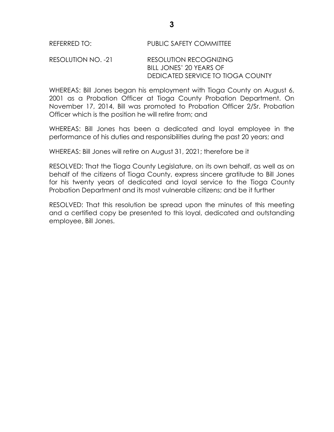### RESOLUTION NO. -21 RESOLUTION RECOGNIZING BILL JONES' 20 YEARS OF DEDICATED SERVICE TO TIOGA COUNTY

WHEREAS: Bill Jones began his employment with Tioga County on August 6, 2001 as a Probation Officer at Tioga County Probation Department. On November 17, 2014, Bill was promoted to Probation Officer 2/Sr. Probation Officer which is the position he will retire from; and

WHEREAS: Bill Jones has been a dedicated and loyal employee in the performance of his duties and responsibilities during the past 20 years; and

WHEREAS: Bill Jones will retire on August 31, 2021; therefore be it

RESOLVED: That the Tioga County Legislature, on its own behalf, as well as on behalf of the citizens of Tioga County, express sincere gratitude to Bill Jones for his twenty years of dedicated and loyal service to the Tioga County Probation Department and its most vulnerable citizens; and be it further

RESOLVED: That this resolution be spread upon the minutes of this meeting and a certified copy be presented to this loyal, dedicated and outstanding employee, Bill Jones.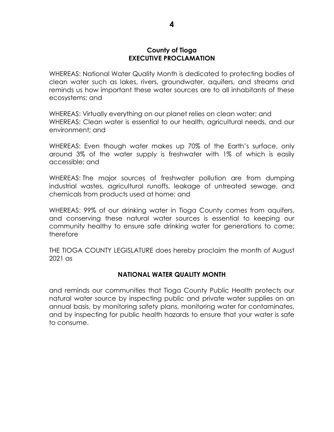#### **County of Tioga EXECUTIVE PROCLAMATION**

WHEREAS: National Water Quality Month is dedicated to protecting bodies of clean water such as lakes, rivers, groundwater, aquifers, and streams and reminds us how important these water sources are to all inhabitants of these ecosystems; and

WHEREAS: Virtually everything on our planet relies on clean water; and WHEREAS: Clean water is essential to our health, agricultural needs, and our environment; and

WHEREAS: Even though water makes up 70% of the Earth's surface, only around 3% of the water supply is freshwater with 1% of which is easily accessible; and

WHEREAS: The major sources of freshwater pollution are from dumping industrial wastes, agricultural runoffs, leakage of untreated sewage, and chemicals from products used at home; and

WHEREAS: 99% of our drinking water in Tioga County comes from aquifers, and conserving these natural water sources is essential to keeping our community healthy to ensure safe drinking water for generations to come; therefore

THE TIOGA COUNTY LEGISLATURE does hereby proclaim the month of August 2021 as

### **NATIONAL WATER QUALITY MONTH**

and reminds our communities that Tioga County Public Health protects our natural water source by inspecting public and private water supplies on an annual basis, by monitoring safety plans, monitoring water for contaminates, and by inspecting for public health hazards to ensure that your water is safe to consume.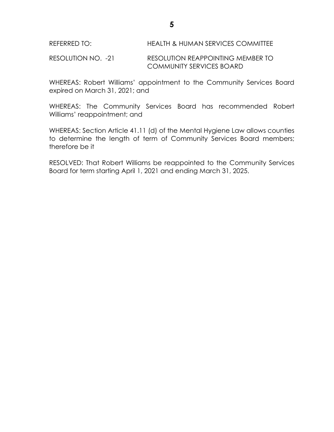REFERRED TO: HEALTH & HUMAN SERVICES COMMITTEE

RESOLUTION NO. -21 RESOLUTION REAPPOINTING MEMBER TO COMMUNITY SERVICES BOARD

WHEREAS: Robert Williams' appointment to the Community Services Board expired on March 31, 2021; and

WHEREAS: The Community Services Board has recommended Robert Williams' reappointment; and

WHEREAS: Section Article 41.11 (d) of the Mental Hygiene Law allows counties to determine the length of term of Community Services Board members; therefore be it

RESOLVED: That Robert Williams be reappointed to the Community Services Board for term starting April 1, 2021 and ending March 31, 2025.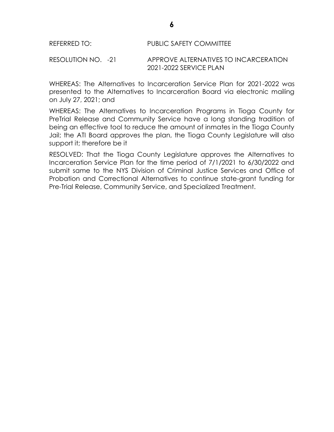RESOLUTION NO. -21 APPROVE ALTERNATIVES TO INCARCERATION 2021-2022 SERVICE PLAN

WHEREAS: The Alternatives to Incarceration Service Plan for 2021-2022 was presented to the Alternatives to Incarceration Board via electronic mailing on July 27, 2021; and

WHEREAS: The Alternatives to Incarceration Programs in Tioga County for PreTrial Release and Community Service have a long standing tradition of being an effective tool to reduce the amount of inmates in the Tioga County Jail; the ATI Board approves the plan, the Tioga County Legislature will also support it; therefore be it

RESOLVED: That the Tioga County Legislature approves the Alternatives to Incarceration Service Plan for the time period of 7/1/2021 to 6/30/2022 and submit same to the NYS Division of Criminal Justice Services and Office of Probation and Correctional Alternatives to continue state-grant funding for Pre-Trial Release, Community Service, and Specialized Treatment.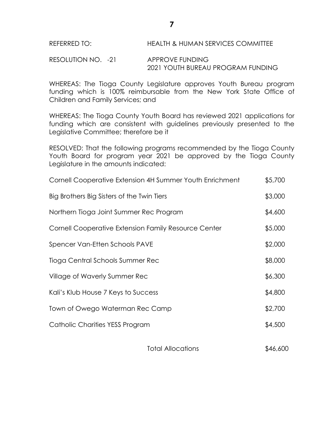RESOLUTION NO. - 21 APPROVE FUNDING 2021 YOUTH BUREAU PROGRAM FUNDING

WHEREAS: The Tioga County Legislature approves Youth Bureau program funding which is 100% reimbursable from the New York State Office of Children and Family Services; and

WHEREAS: The Tioga County Youth Board has reviewed 2021 applications for funding which are consistent with guidelines previously presented to the Legislative Committee; therefore be it

RESOLVED: That the following programs recommended by the Tioga County Youth Board for program year 2021 be approved by the Tioga County Legislature in the amounts indicated:

| Cornell Cooperative Extension 4H Summer Youth Enrichment | \$5,700 |
|----------------------------------------------------------|---------|
| Big Brothers Big Sisters of the Twin Tiers               | \$3,000 |
| Northern Tioga Joint Summer Rec Program                  | \$4,600 |
| Cornell Cooperative Extension Family Resource Center     | \$5,000 |
| Spencer Van-Etten Schools PAVE                           | \$2,000 |
| Tioga Central Schools Summer Rec                         | \$8,000 |
| Village of Waverly Summer Rec                            | \$6,300 |
| Kali's Klub House 7 Keys to Success                      | \$4,800 |
| Town of Owego Waterman Rec Camp                          | \$2,700 |
| Catholic Charities YESS Program                          | \$4,500 |
|                                                          |         |

| <b>Total Allocations</b> | \$46,600 |
|--------------------------|----------|
|                          |          |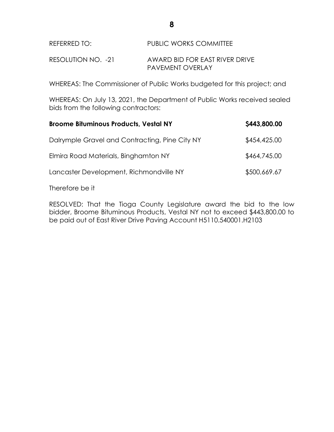| REFERRED TO: | <b>PUBLIC WORKS COMMITTEE</b> |
|--------------|-------------------------------|
|              |                               |

RESOLUTION NO. -21 AWARD BID FOR EAST RIVER DRIVE PAVEMENT OVERLAY

WHEREAS: The Commissioner of Public Works budgeted for this project; and

WHEREAS: On July 13, 2021, the Department of Public Works received sealed bids from the following contractors:

| <b>Broome Bituminous Products, Vestal NY</b>   | \$443,800.00 |
|------------------------------------------------|--------------|
| Dalrymple Gravel and Contracting, Pine City NY | \$454,425.00 |
| Elmira Road Materials, Binghamton NY           | \$464,745.00 |
| Lancaster Development, Richmondville NY        | \$500,669.67 |

Therefore be it

RESOLVED: That the Tioga County Legislature award the bid to the low bidder, Broome Bituminous Products, Vestal NY not to exceed \$443,800.00 to be paid out of East River Drive Paving Account H5110.540001.H2103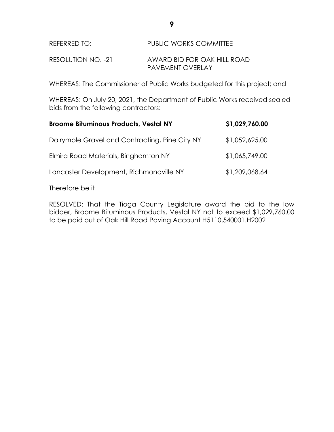# REFERRED TO: PUBLIC WORKS COMMITTEE

RESOLUTION NO. -21 AWARD BID FOR OAK HILL ROAD PAVEMENT OVERLAY

WHEREAS: The Commissioner of Public Works budgeted for this project; and

WHEREAS: On July 20, 2021, the Department of Public Works received sealed bids from the following contractors:

| <b>Broome Bituminous Products, Vestal NY</b>   | \$1,029,760.00 |
|------------------------------------------------|----------------|
| Dalrymple Gravel and Contracting, Pine City NY | \$1,052,625.00 |
| Elmira Road Materials, Binghamton NY           | \$1,065,749.00 |
| Lancaster Development, Richmondville NY        | \$1,209,068.64 |

Therefore be it

RESOLVED: That the Tioga County Legislature award the bid to the low bidder, Broome Bituminous Products, Vestal NY not to exceed \$1,029,760.00 to be paid out of Oak Hill Road Paving Account H5110.540001.H2002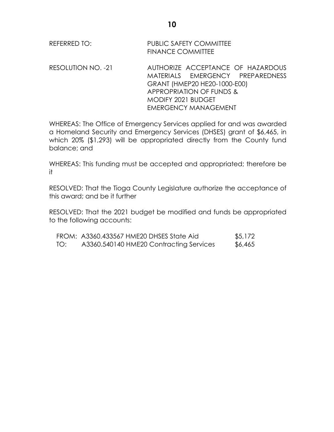| REFERRED TO: | PUBLIC SAFETY COMMITTEE  |
|--------------|--------------------------|
|              | <b>FINANCE COMMITTEE</b> |

RESOLUTION NO. -21 AUTHORIZE ACCEPTANCE OF HAZARDOUS MATERIALS EMERGENCY PREPAREDNESS GRANT (HMEP20 HE20-1000-E00) APPROPRIATION OF FUNDS & MODIFY 2021 BUDGET EMERGENCY MANAGEMENT

WHEREAS: The Office of Emergency Services applied for and was awarded a Homeland Security and Emergency Services (DHSES) grant of \$6,465, in which 20% (\$1,293) will be appropriated directly from the County fund balance; and

WHEREAS: This funding must be accepted and appropriated; therefore be it

RESOLVED: That the Tioga County Legislature authorize the acceptance of this award; and be it further

RESOLVED: That the 2021 budget be modified and funds be appropriated to the following accounts:

|     | FROM: A3360.433567 HME20 DHSES State Aid | \$5,172 |
|-----|------------------------------------------|---------|
| TO: | A3360.540140 HME20 Contracting Services  | \$6,465 |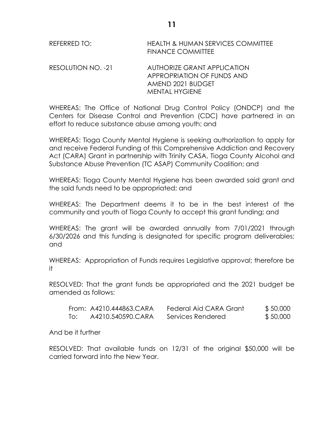| REFERRED TO: | <b>HEALTH &amp; HUMAN SERVICES COMMITTEE</b> |
|--------------|----------------------------------------------|
|              | <b>FINANCE COMMITTEE</b>                     |

RESOLUTION NO. -21 AUTHORIZE GRANT APPLICATION APPROPRIATION OF FUNDS AND AMEND 2021 BUDGET MENTAL HYGIENE

WHEREAS: The Office of National Drug Control Policy (ONDCP) and the Centers for Disease Control and Prevention (CDC) have partnered in an effort to reduce substance abuse among youth; and

WHEREAS: Tioga County Mental Hygiene is seeking authorization to apply for and receive Federal Funding of this Comprehensive Addiction and Recovery Act (CARA) Grant in partnership with Trinity CASA, Tioga County Alcohol and Substance Abuse Prevention (TC ASAP) Community Coalition; and

WHEREAS: Tioga County Mental Hygiene has been awarded said grant and the said funds need to be appropriated; and

WHEREAS: The Department deems it to be in the best interest of the community and youth of Tioga County to accept this grant funding; and

WHEREAS: The grant will be awarded annually from 7/01/2021 through 6/30/2026 and this funding is designated for specific program deliverables; and

WHEREAS: Appropriation of Funds requires Legislative approval; therefore be it

RESOLVED: That the grant funds be appropriated and the 2021 budget be amended as follows:

|     | From: A4210.444863.CARA | Federal Aid CARA Grant | \$50,000 |
|-----|-------------------------|------------------------|----------|
| To: | A4210.540590.CARA       | Services Rendered      | \$50,000 |

And be it further

RESOLVED: That available funds on 12/31 of the original \$50,000 will be carried forward into the New Year.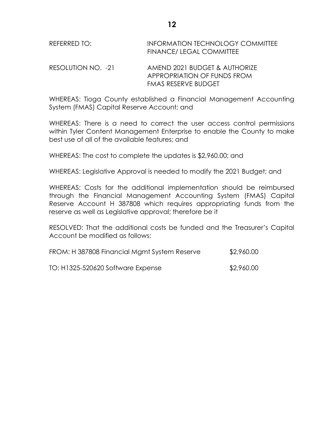| REFERRED TO:       | INFORMATION TECHNOLOGY COMMITTEE<br><b>FINANCE/ LEGAL COMMITTEE</b> |
|--------------------|---------------------------------------------------------------------|
| RESOLUTION NO. -21 | AMEND 2021 BUDGET & AUTHORIZE                                       |

WHEREAS: Tioga County established a Financial Management Accounting System (FMAS) Capital Reserve Account; and

FMAS RESERVE BUDGET

APPROPRIATION OF FUNDS FROM

WHEREAS: There is a need to correct the user access control permissions within Tyler Content Management Enterprise to enable the County to make best use of all of the available features; and

WHEREAS: The cost to complete the updates is \$2,960.00; and

WHEREAS: Legislative Approval is needed to modify the 2021 Budget; and

WHEREAS: Costs for the additional implementation should be reimbursed through the Financial Management Accounting System (FMAS) Capital Reserve Account H 387808 which requires appropriating funds from the reserve as well as Legislative approval; therefore be it

RESOLVED: That the additional costs be funded and the Treasurer's Capital Account be modified as follows:

| FROM: H 387808 Financial Mamt System Reserve | \$2,960.00 |
|----------------------------------------------|------------|
| TO: H1325-520620 Software Expense            | \$2,960.00 |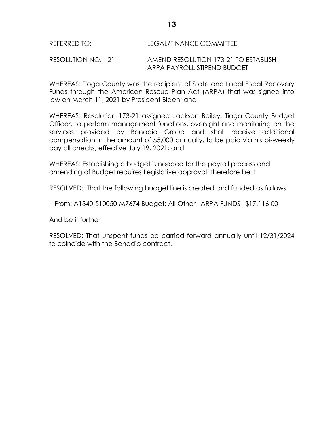### REFERRED TO: LEGAL/FINANCE COMMITTEE

RESOLUTION NO. -21 AMEND RESOLUTION 173-21 TO ESTABLISH ARPA PAYROLL STIPEND BUDGET

WHEREAS: Tioga County was the recipient of State and Local Fiscal Recovery Funds through the American Rescue Plan Act (ARPA) that was signed into law on March 11, 2021 by President Biden; and

WHEREAS: Resolution 173-21 assigned Jackson Bailey, Tioga County Budget Officer, to perform management functions, oversight and monitoring on the services provided by Bonadio Group and shall receive additional compensation in the amount of \$5,000 annually, to be paid via his bi-weekly payroll checks, effective July 19, 2021; and

WHEREAS: Establishing a budget is needed for the payroll process and amending of Budget requires Legislative approval; therefore be it

RESOLVED: That the following budget line is created and funded as follows:

From: A1340-510050-M7674 Budget: All Other –ARPA FUNDS \$17,116.00

And be it further

RESOLVED: That unspent funds be carried forward annually until 12/31/2024 to coincide with the Bonadio contract.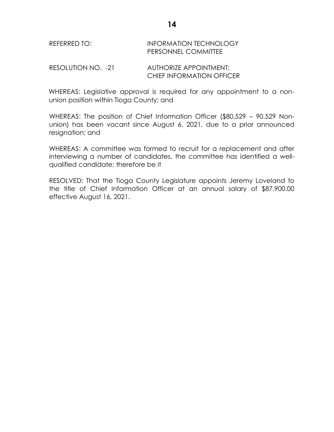## REFERRED TO: **INFORMATION TECHNOLOGY** PERSONNEL COMMITTEE

RESOLUTION NO. -21 AUTHORIZE APPOINTMENT: CHIEF INFORMATION OFFICER

WHEREAS: Legislative approval is required for any appointment to a nonunion position within Tioga County; and

WHEREAS: The position of Chief Information Officer (\$80,529 – 90,529 Nonunion) has been vacant since August 6, 2021, due to a prior announced resignation; and

WHEREAS: A committee was formed to recruit for a replacement and after interviewing a number of candidates, the committee has identified a wellqualified candidate; therefore be it

RESOLVED: That the Tioga County Legislature appoints Jeremy Loveland to the title of Chief Information Officer at an annual salary of \$87,900.00 effective August 16, 2021.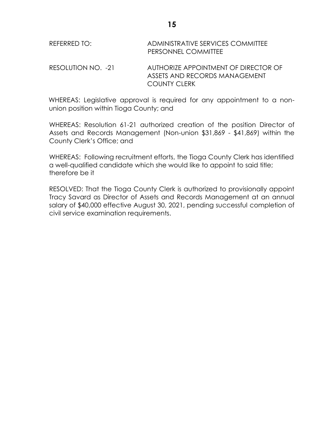| REFERRED TO:       | ADMINISTRATIVE SERVICES COMMITTEE<br>PERSONNEL COMMITTEE              |
|--------------------|-----------------------------------------------------------------------|
| RESOLUTION NO. -21 | AUTHORIZE APPOINTMENT OF DIRECTOR OF<br>ASSETS AND RECORDS MANAGEMENT |

WHEREAS: Legislative approval is required for any appointment to a nonunion position within Tioga County; and

COUNTY CLERK

WHEREAS: Resolution 61-21 authorized creation of the position Director of Assets and Records Management (Non-union \$31,869 - \$41,869) within the County Clerk's Office; and

WHEREAS: Following recruitment efforts, the Tioga County Clerk has identified a well-qualified candidate which she would like to appoint to said title; therefore be it

RESOLVED: That the Tioga County Clerk is authorized to provisionally appoint Tracy Savard as Director of Assets and Records Management at an annual salary of \$40,000 effective August 30, 2021, pending successful completion of civil service examination requirements.